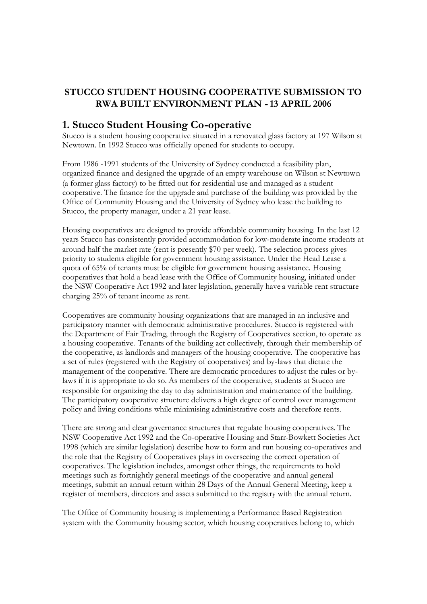### **STUCCO STUDENT HOUSING COOPERATIVE SUBMISSION TO RWA BUILT ENVIRONMENT PLAN -13 APRIL 2006**

### **1. Stucco Student Housing Co-operative**

Stucco is a student housing cooperative situated in a renovated glass factory at 197 Wilson st Newtown. In 1992 Stucco was officially opened for students to occupy.

From 1986 -1991 students of the University of Sydney conducted a feasibility plan, organized finance and designed the upgrade of an empty warehouse on Wilson st Newtown (a former glass factory) to be fitted out for residential use and managed as a student cooperative. The finance for the upgrade and purchase of the building was provided by the Office of Community Housing and the University of Sydney who lease the building to Stucco, the property manager, under a 21 year lease.

Housing cooperatives are designed to provide affordable community housing. In the last 12 years Stucco has consistently provided accommodation for low-moderate income students at around half the market rate (rent is presently \$70 per week). The selection process gives priority to students eligible for government housing assistance. Under the Head Lease a quota of 65% of tenants must be eligible for government housing assistance. Housing cooperatives that hold a head lease with the Office of Community housing, initiated under the NSW Cooperative Act 1992 and later legislation, generally have a variable rent structure charging 25% of tenant income as rent.

Cooperatives are community housing organizations that are managed in an inclusive and participatory manner with democratic administrative procedures. Stucco is registered with the Department of Fair Trading, through the Registry of Cooperatives section, to operate as a housing cooperative. Tenants of the building act collectively, through their membership of the cooperative, as landlords and managers of the housing cooperative. The cooperative has a set of rules (registered with the Registry of cooperatives) and by-laws that dictate the management of the cooperative. There are democratic procedures to adjust the rules or bylaws if it is appropriate to do so. As members of the cooperative, students at Stucco are responsible for organizing the day to day administration and maintenance of the building. The participatory cooperative structure delivers a high degree of control over management policy and living conditions while minimising administrative costs and therefore rents.

There are strong and clear governance structures that regulate housing cooperatives. The NSW Cooperative Act 1992 and the Co-operative Housing and Starr-Bowkett Societies Act 1998 (which are similar legislation) describe how to form and run housing co-operatives and the role that the Registry of Cooperatives plays in overseeing the correct operation of cooperatives. The legislation includes, amongst other things, the requirements to hold meetings such as fortnightly general meetings of the cooperative and annual general meetings, submit an annual return within 28 Days of the Annual General Meeting, keep a register of members, directors and assets submitted to the registry with the annual return.

The Office of Community housing is implementing a Performance Based Registration system with the Community housing sector, which housing cooperatives belong to, which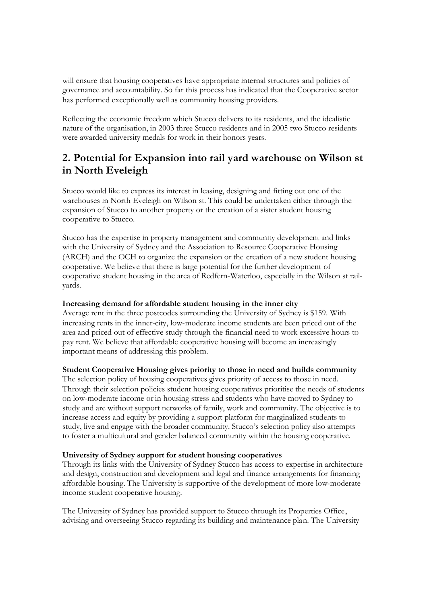will ensure that housing cooperatives have appropriate internal structures and policies of governance and accountability. So far this process has indicated that the Cooperative sector has performed exceptionally well as community housing providers.

Reflecting the economic freedom which Stucco delivers to its residents, and the idealistic nature of the organisation, in 2003 three Stucco residents and in 2005 two Stucco residents were awarded university medals for work in their honors years.

## **2. Potential for Expansion into rail yard warehouse on Wilson st in North Eveleigh**

Stucco would like to express its interest in leasing, designing and fitting out one of the warehouses in North Eveleigh on Wilson st. This could be undertaken either through the expansion of Stucco to another property or the creation of a sister student housing cooperative to Stucco.

Stucco has the expertise in property management and community development and links with the University of Sydney and the Association to Resource Cooperative Housing (ARCH) and the OCH to organize the expansion or the creation of a new student housing cooperative. We believe that there is large potential for the further development of cooperative student housing in the area of Redfern-Waterloo, especially in the Wilson st railyards.

#### **Increasing demand for affordable student housing in the inner city**

Average rent in the three postcodes surrounding the University of Sydney is \$159. With increasing rents in the inner-city, low-moderate income students are been priced out of the area and priced out of effective study through the financial need to work excessive hours to pay rent. We believe that affordable cooperative housing will become an increasingly important means of addressing this problem.

### **Student Cooperative Housing gives priority to those in need and builds community**

The selection policy of housing cooperatives gives priority of access to those in need. Through their selection policies student housing cooperatives prioritise the needs of students on low-moderate income or in housing stress and students who have moved to Sydney to study and are without support networks of family, work and community. The objective is to increase access and equity by providing a support platform for marginalized students to study, live and engage with the broader community. Stucco's selection policy also attempts to foster a multicultural and gender balanced community within the housing cooperative.

#### **University of Sydney support for student housing cooperatives**

Through its links with the University of Sydney Stucco has access to expertise in architecture and design, construction and development and legal and finance arrangements for financing affordable housing. The University is supportive of the development of more low-moderate income student cooperative housing.

The University of Sydney has provided support to Stucco through its Properties Office, advising and overseeing Stucco regarding its building and maintenance plan. The University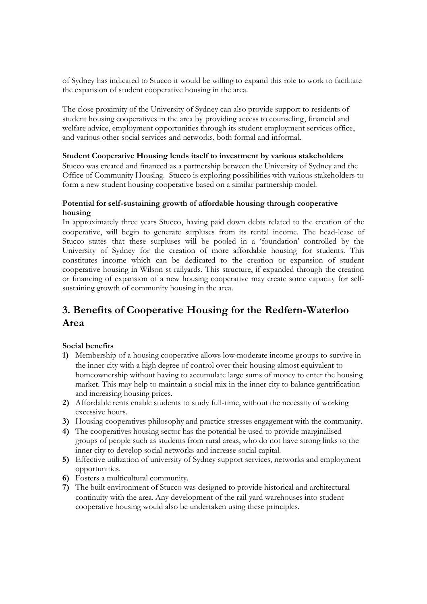of Sydney has indicated to Stucco it would be willing to expand this role to work to facilitate the expansion of student cooperative housing in the area.

The close proximity of the University of Sydney can also provide support to residents of student housing cooperatives in the area by providing access to counseling, financial and welfare advice, employment opportunities through its student employment services office, and various other social services and networks, both formal and informal.

### **Student Cooperative Housing lends itself to investment by various stakeholders**

Stucco was created and financed as a partnership between the University of Sydney and the Office of Community Housing. Stucco is exploring possibilities with various stakeholders to form a new student housing cooperative based on a similar partnership model.

### **Potential for self-sustaining growth of affordable housing through cooperative housing**

In approximately three years Stucco, having paid down debts related to the creation of the cooperative, will begin to generate surpluses from its rental income. The head-lease of Stucco states that these surpluses will be pooled in a 'foundation' controlled by the University of Sydney for the creation of more affordable housing for students. This constitutes income which can be dedicated to the creation or expansion of student cooperative housing in Wilson st railyards. This structure, if expanded through the creation or financing of expansion of a new housing cooperative may create some capacity for selfsustaining growth of community housing in the area.

# **3. Benefits of Cooperative Housing for the Redfern-Waterloo Area**

### **Social benefits**

- **1)** Membership of a housing cooperative allows low-moderate income groups to survive in the inner city with a high degree of control over their housing almost equivalent to homeownership without having to accumulate large sums of money to enter the housing market. This may help to maintain a social mix in the inner city to balance gentrification and increasing housing prices.
- **2)** Affordable rents enable students to study full-time, without the necessity of working excessive hours.
- **3)** Housing cooperatives philosophy and practice stresses engagement with the community.
- **4)** The cooperatives housing sector has the potential be used to provide marginalised groups of people such as students from rural areas, who do not have strong links to the inner city to develop social networks and increase social capital.
- **5)** Effective utilization of university of Sydney support services, networks and employment opportunities.
- **6)** Fosters a multicultural community.
- **7)** The built environment of Stucco was designed to provide historical and architectural continuity with the area. Any development of the rail yard warehouses into student cooperative housing would also be undertaken using these principles.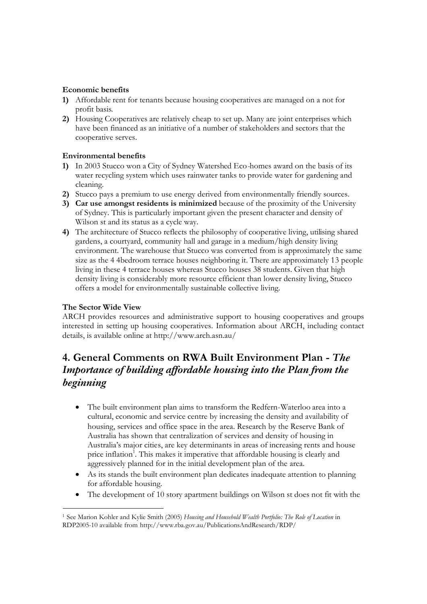#### **Economic benefits**

- **1)** Affordable rent for tenants because housing cooperatives are managed on a not for profit basis.
- **2)** Housing Cooperatives are relatively cheap to set up. Many are joint enterprises which have been financed as an initiative of a number of stakeholders and sectors that the cooperative serves.

#### **Environmental benefits**

- **1)** In 2003 Stucco won a City of Sydney Watershed Eco-homes award on the basis of its water recycling system which uses rainwater tanks to provide water for gardening and cleaning.
- **2)** Stucco pays a premium to use energy derived from environmentally friendly sources.
- **3) Car use amongst residents is minimized** because of the proximity of the University of Sydney. This is particularly important given the present character and density of Wilson st and its status as a cycle way.
- **4)** The architecture of Stucco reflects the philosophy of cooperative living, utilising shared gardens, a courtyard, community hall and garage in a medium/high density living environment. The warehouse that Stucco was converted from is approximately the same size as the 4 4bedroom terrace houses neighboring it. There are approximately 13 people living in these 4 terrace houses whereas Stucco houses 38 students. Given that high density living is considerably more resource efficient than lower density living, Stucco offers a model for environmentally sustainable collective living.

### **The Sector Wide View**

ARCH provides resources and administrative support to housing cooperatives and groups interested in setting up housing cooperatives. Information about ARCH, including contact details, is available online at http://www.arch.asn.au/

## **4. General Comments on RWA Built Environment Plan -** *The Importance of building affordable housing into the Plan from the beginning*

- The built environment plan aims to transform the Redfern-Waterlooarea into a cultural, economic and service centre by increasing the density and availability of housing, services and office space in the area. Research by the Reserve Bank of Australia has shown that centralization of services and density of housing in Australia's major cities, are key determinants in areas of increasing rents and house price inflation<sup>1</sup>. This makes it imperative that affordable housing is clearly and aggressively planned for in the initial development plan of the area.
- As its stands the built environment plan dedicates inadequate attention to planning for affordable housing.
- The development of 10 story apartment buildings on Wilson st does not fit with the

<sup>1</sup> See Marion Kohler and Kylie Smith (2005) *Housing and Household Wealth Portfolio: The Role of Location* in RDP2005-10 available from http://www.rba.gov.au/PublicationsAndResearch/RDP/